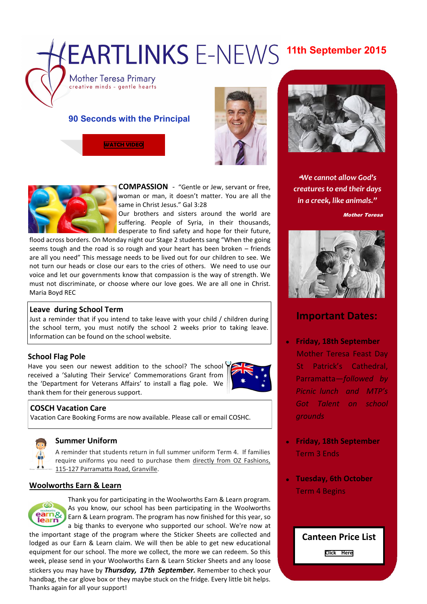# **EARTLINKS E-NEWS 11th September 2015**

Mother Teresa Primary creative minds - gentle hearts

# **90 Seconds with the Principal**

**[WATCH VIDEO](https://youtu.be/8vjeCdt66GM)**





**COMPASSION** - "Gentle or Jew, servant or free, woman or man, it doesn't matter. You are all the same in Christ Jesus." Gal 3:28

Our brothers and sisters around the world are suffering. People of Syria, in their thousands, desperate to find safety and hope for their future,

flood across borders. On Monday night our Stage 2 students sang "When the going seems tough and the road is so rough and your heart has been broken – friends are all you need" This message needs to be lived out for our children to see. We not turn our heads or close our ears to the cries of others. We need to use our voice and let our governments know that compassion is the way of strength. We must not discriminate, or choose where our love goes. We are all one in Christ. Maria Boyd REC

### **Leave during School Term**

Just a reminder that if you intend to take leave with your child / children during the school term, you must notify the school 2 weeks prior to taking leave. Information can be found on the school website.

## **School Flag Pole**

Have you seen our newest addition to the school? The school received a 'Saluting Their Service' Commemorations Grant from the 'Department for Veterans Affairs' to install a flag pole. We thank them for their generous support.



## **COSCH Vacation Care**

Vacation Care Booking Forms are now available. Please call or email COSHC.



### **Summer Uniform**

A reminder that students return in full summer uniform Term 4. If families require uniforms you need to purchase them directly from OZ Fashions, 115-127 Parramatta Road, Granville.

### **Woolworths Earn & Learn**



Thank you for participating in the Woolworths Earn & Learn program. As you know, our school has been participating in the Woolworths Earn & Learn program. The program has now finished for this year, so a big thanks to everyone who supported our school. We're now at

the important stage of the program where the Sticker Sheets are collected and lodged as our Earn & Learn claim. We will then be able to get new educational equipment for our school. The more we collect, the more we can redeem. So this week, please send in your Woolworths Earn & Learn Sticker Sheets and any loose stickers you may have by *Thursday, 17th September.* Remember to check your handbag, the car glove box or they maybe stuck on the fridge. Every little bit helps. Thanks again for all your support!



"*We cannot allow God's creatures to end their days in a creek, like animals."*

Mother Teresa



# **Important Dates:**

- **Friday, 18th September**   $\bullet$ Mother Teresa Feast Day St Patrick's Cathedral, Parramatta—*followed by Picnic lunch and MTP's Got Talent on school grounds*
- **Friday, 18th September**  Term 3 Ends
- **Tuesday, 6th October**  Term 4 Begins

**Canteen Price List**

**[Click Here](http://www.motherteresawestmead.catholic.edu.au/SiteData/208/UserFiles/PublicationLinks/Canteen%20Menu%202015.pdf)**